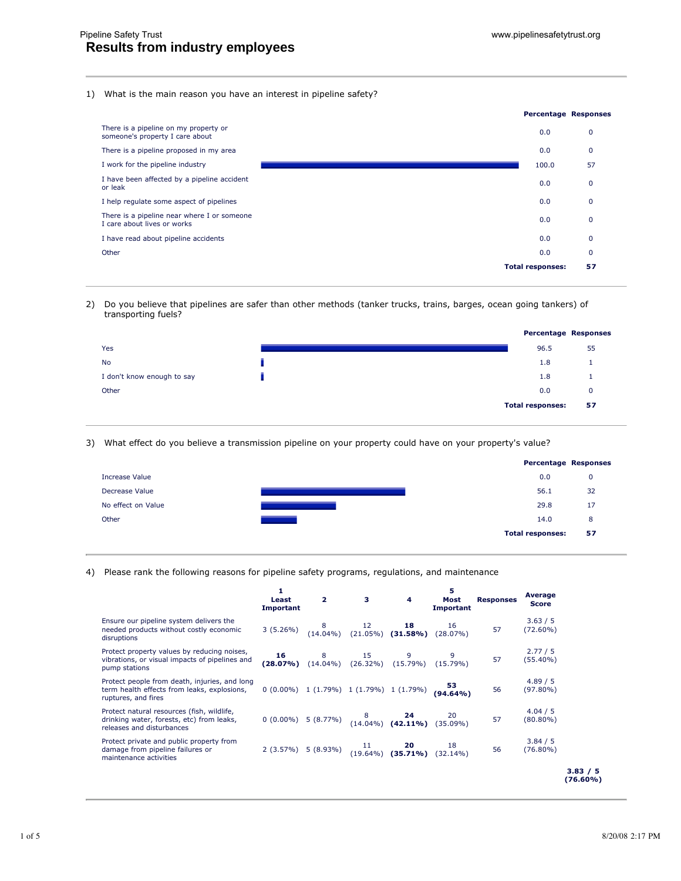## 1) What is the main reason you have an interest in pipeline safety?

|                                                                            | <b>Percentage Responses</b> |              |
|----------------------------------------------------------------------------|-----------------------------|--------------|
| There is a pipeline on my property or<br>someone's property I care about   | 0.0                         | 0            |
| There is a pipeline proposed in my area                                    | 0.0                         | $\mathbf{0}$ |
| I work for the pipeline industry                                           | 100.0                       | 57           |
| I have been affected by a pipeline accident<br>or leak                     | 0.0                         | $\mathbf 0$  |
| I help regulate some aspect of pipelines                                   | 0.0                         | $\mathbf{0}$ |
| There is a pipeline near where I or someone<br>I care about lives or works | 0.0                         | $\mathbf{0}$ |
| I have read about pipeline accidents                                       | 0.0                         | 0            |
| Other                                                                      | 0.0                         | $\Omega$     |
|                                                                            | <b>Total responses:</b>     | 57           |

2) Do you believe that pipelines are safer than other methods (tanker trucks, trains, barges, ocean going tankers) of transporting fuels?



3) What effect do you believe a transmission pipeline on your property could have on your property's value?



## 4) Please rank the following reasons for pipeline safety programs, regulations, and maintenance

|                                                                                                                      | 1<br>Least<br><b>Important</b> | $\mathbf{2}$     | $\mathbf{3}$      | 4                                                                                                                             | 5<br>Most<br>Important | <b>Responses</b> | Average<br><b>Score</b> |                      |
|----------------------------------------------------------------------------------------------------------------------|--------------------------------|------------------|-------------------|-------------------------------------------------------------------------------------------------------------------------------|------------------------|------------------|-------------------------|----------------------|
| Ensure our pipeline system delivers the<br>needed products without costly economic<br>disruptions                    | 3(5.26%)                       | $8$<br>(14.04%)  |                   | 12 <b>18</b><br>(21.05%) ( <b>31.58%</b> )                                                                                    | 16<br>$(28.07\%)$      | 57               | 3.63 / 5<br>$(72.60\%)$ |                      |
| Protect property values by reducing noises,<br>vibrations, or visual impacts of pipelines and<br>pump stations       | 16<br>(28.07%)                 | 8<br>$(14.04\%)$ | 15<br>$(26.32\%)$ | 9<br>$(15.79\%)$                                                                                                              | $(15.79\%)$            | 57               | 2.77 / 5<br>$(55.40\%)$ |                      |
| Protect people from death, injuries, and long<br>term health effects from leaks, explosions,<br>ruptures, and fires  |                                |                  |                   | $0(0.00\%)$ 1 (1.79%) 1 (1.79%) 1 (1.79%)                                                                                     | 53.<br>$(94.64\%)$     | 56               | 4.89 / 5<br>$(97.80\%)$ |                      |
| Protect natural resources (fish, wildlife,<br>drinking water, forests, etc) from leaks,<br>releases and disturbances |                                |                  |                   | 0 (0.00%) 5 (8.77%) $\begin{array}{cc} 8 & \textbf{24} & 20 \\ 14.04\% & \textbf{(42.11\%)} & \textbf{(35.09\%)} \end{array}$ |                        | 57               | 4.04 / 5<br>$(80.80\%)$ |                      |
| Protect private and public property from<br>damage from pipeline failures or<br>maintenance activities               |                                |                  |                   | 2 (3.57%) 5 (8.93%) $\begin{array}{cc} 11 & \textbf{20} & 18 \\ (19.64\%) & \textbf{(35.71\%)} & (32.14\%) \end{array}$       |                        | 56               | 3.84 / 5<br>$(76.80\%)$ |                      |
|                                                                                                                      |                                |                  |                   |                                                                                                                               |                        |                  |                         | 3.83 / 5<br>(76.60%) |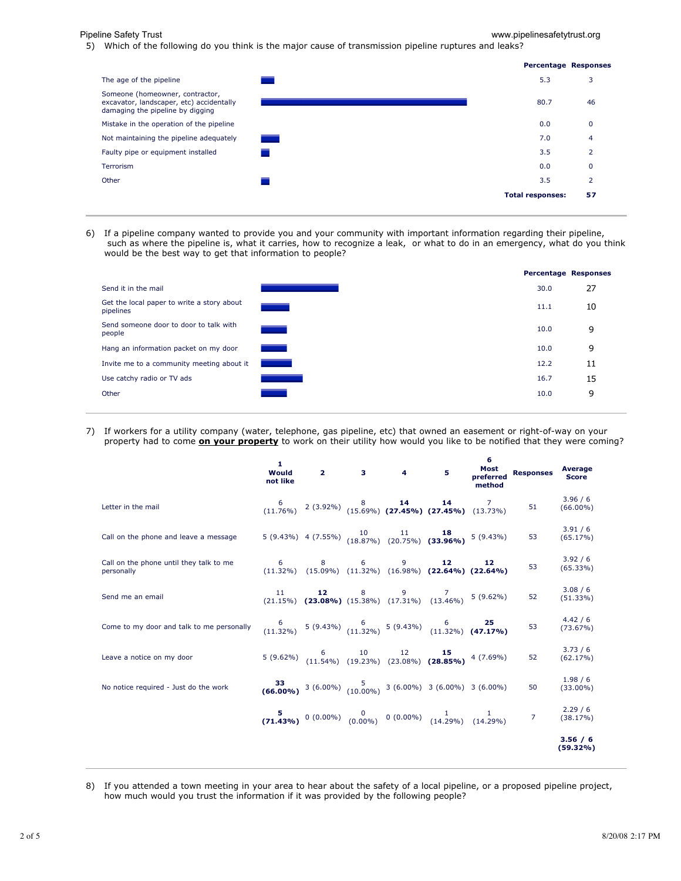Pipeline Safety Trust www.pipelinesafetytrust.org

5) Which of the following do you think is the major cause of transmission pipeline ruptures and leaks?



6) If a pipeline company wanted to provide you and your community with important information regarding their pipeline, such as where the pipeline is, what it carries, how to recognize a leak, or what to do in an emergency, what do you think would be the best way to get that information to people?

|                                                         |                          | <b>Percentage Responses</b> |    |
|---------------------------------------------------------|--------------------------|-----------------------------|----|
| Send it in the mail                                     |                          | 30.0                        | 27 |
| Get the local paper to write a story about<br>pipelines |                          | 11.1                        | 10 |
| Send someone door to door to talk with<br>people        |                          | 10.0                        | 9  |
| Hang an information packet on my door                   |                          | 10.0                        | 9  |
| Invite me to a community meeting about it               | $\sim 10^{11}$ m $^{-1}$ | 12.2                        | 11 |
| Use catchy radio or TV ads                              |                          | 16.7                        | 15 |
| Other                                                   |                          | 10.0                        | 9  |
|                                                         |                          |                             |    |

7) If workers for a utility company (water, telephone, gas pipeline, etc) that owned an easement or right-of-way on your property had to come **on your property** to work on their utility how would you like to be notified that they were coming?

|                                                       | 1<br>Would<br>not like |                     |                 | $2 \qquad 3 \qquad 4$ | 5                                                                                                                                       | 6<br>Most<br>preferred<br>method | <b>Responses</b> | Average<br><b>Score</b> |
|-------------------------------------------------------|------------------------|---------------------|-----------------|-----------------------|-----------------------------------------------------------------------------------------------------------------------------------------|----------------------------------|------------------|-------------------------|
| Letter in the mail                                    |                        |                     |                 |                       | $(11.76\%)$ 2 (3.92%) $(8$ 14 14 7<br>(11.76%) 2 (3.92%) (15.69%) (27.45%) (27.45%) (13.73%)                                            |                                  | 51               | 3.96 / 6<br>$(66.00\%)$ |
| Call on the phone and leave a message                 |                        |                     |                 |                       | 5 (9.43%) 4 (7.55%) $\begin{array}{cc} 10 & 11 & \textbf{18} \\ (18.87\%) & (20.75\%) & (33.96\%) \end{array}$ 5 (9.43%)                |                                  | 53               | 3.91/6<br>(65.17%)      |
| Call on the phone until they talk to me<br>personally |                        | $6 \qquad \qquad 8$ | $6\overline{)}$ | 9                     | 12<br>$(11.32\%)$ $(15.09\%)$ $(11.32\%)$ $(16.98\%)$ $(22.64\%)$ $(22.64\%)$                                                           | 12                               | 53               | 3.92/6<br>(65.33%)      |
| Send me an email                                      |                        |                     |                 |                       | 11 <b>12</b> 8 9 7<br>(21.15%) <b>(23.08%)</b> (15.38%) (17.31%) (13.46%) 5 (9.62%)                                                     |                                  | 52               | 3.08 / 6<br>(51.33%)    |
| Come to my door and talk to me personally             |                        |                     |                 |                       | $\begin{array}{cccc} 6 & 6 & 25 \\ (11.32\%) & (9.43\%) & (11.32\%) & (9.43\%) & (11.32\%) & (47.17\%) \end{array}$                     |                                  | 53               | 4.42/6<br>$(73.67\%)$   |
| Leave a notice on my door                             |                        |                     |                 |                       | 5 (9.62%) $\begin{array}{cc} 6 & 10 & 12 & \textbf{15} \\ (11.54\%) & (19.23\%) & (23.08\%) & \textbf{(28.85\%)} \end{array}$ 4 (7.69%) |                                  | 52               | 3.73/6<br>(62.17%)      |
| No notice required - Just do the work                 |                        |                     |                 |                       | <b>33</b> (6.00%) $\begin{matrix} 5 \\ 10.00\% \end{matrix}$ 3 (6.00%) 3 (6.00%) 3 (6.00%)                                              |                                  | 50               | 1.98/6<br>$(33.00\%)$   |
|                                                       |                        |                     |                 |                       | 5 0 (0.00%) 0 (0.00%) 0 (0.00%) $\frac{1}{(14.29\%)}$ 1 1 7                                                                             |                                  |                  | 2.29/6<br>(38.17%)      |
|                                                       |                        |                     |                 |                       |                                                                                                                                         |                                  |                  | 3.56 / 6<br>$(59.32\%)$ |

8) If you attended a town meeting in your area to hear about the safety of a local pipeline, or a proposed pipeline project, how much would you trust the information if it was provided by the following people?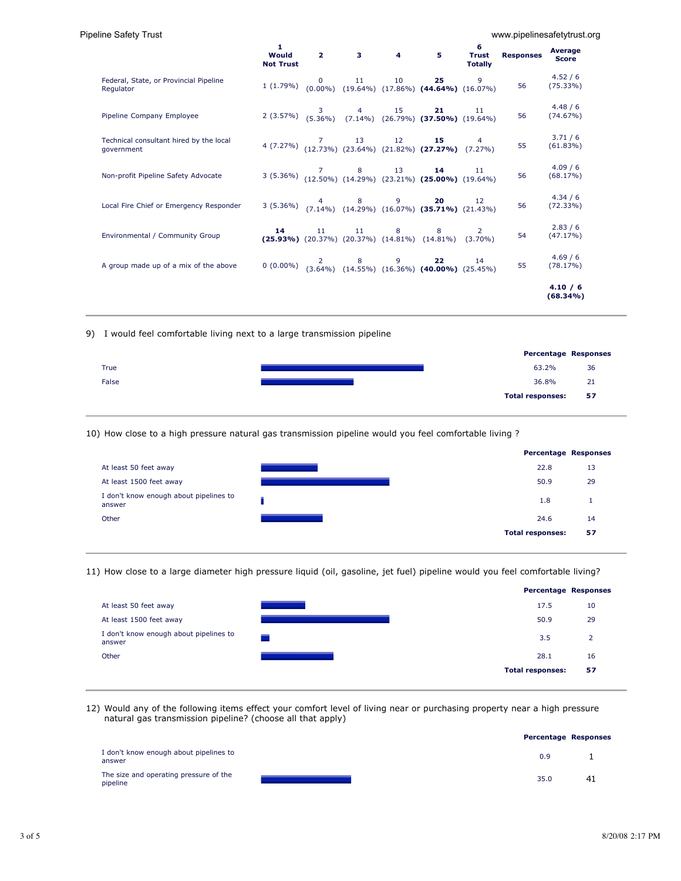| Pipeline Safety Trust                                 |                                |                                                                                 |      |          |                                                                                                                                               |                                     |                  | www.pipelinesafetytrust.org |
|-------------------------------------------------------|--------------------------------|---------------------------------------------------------------------------------|------|----------|-----------------------------------------------------------------------------------------------------------------------------------------------|-------------------------------------|------------------|-----------------------------|
|                                                       | 1<br>Would<br><b>Not Trust</b> | $\overline{\mathbf{2}}$ and $\overline{\mathbf{2}}$ and $\overline{\mathbf{2}}$ |      | $3 \t 4$ | 5                                                                                                                                             | 6<br><b>Trust</b><br><b>Totally</b> | <b>Responses</b> | Average<br><b>Score</b>     |
| Federal, State, or Provincial Pipeline<br>Regulator   |                                |                                                                                 |      |          | 1 (1.79%) $\begin{array}{cc} 0 & 11 & 10 & \textbf{25} & 9 \\ 0.000\% & (19.64\%) & (17.86\%) & \textbf{(44.64\%)} & (16.07\%) \end{array}$   |                                     | 56               | 4.52 / 6<br>$(75.33\%)$     |
| Pipeline Company Employee                             |                                |                                                                                 |      |          | 2 (3.57%) $\begin{array}{cccc} 3 & 4 & 15 & \textbf{21} & 11 \\ (5.36\%) & (7.14\%) & (26.79\%) & \textbf{(37.50\%)} & (19.64\%) \end{array}$ |                                     | 56               | 4.48 / 6<br>(74.67%)        |
| Technical consultant hired by the local<br>qovernment |                                |                                                                                 |      |          | 4 (7.27%) $\begin{bmatrix} 7 & 13 & 12 & \textbf{15} & 4 \\ 12.73\% & 23.64\% & 21.82\% & \textbf{27.27\%} & 7.27\% \end{bmatrix}$            |                                     | 55               | 3.71/6<br>$(61.83\%)$       |
| Non-profit Pipeline Safety Advocate                   |                                |                                                                                 |      |          | 3 (5.36%) $\begin{bmatrix} 7 & 8 & 13 & \mathbf{14} & 11 \\ 11 & 12 & 50\% & 14.29\% & 23.21\% & \mathbf{25.00\%} & 19.64\% \end{bmatrix}$    |                                     | 56               | 4.09/6<br>(68.17%)          |
| Local Fire Chief or Emergency Responder               |                                |                                                                                 |      |          | 3 (5.36%) $\begin{pmatrix} 4 & 8 & 9 & \textbf{20} & 12 \\ 7.14\% & (14.29\%) & (16.07\%) & \textbf{(35.71\%)} & (21.43\%) \end{pmatrix}$     |                                     | 56               | 4.34/6<br>$(72.33\%)$       |
| Environmental / Community Group                       | 14                             | 11 - 11                                                                         | 11 8 |          | 8 <sub>1</sub><br>(25.93%) $(20.37\%)$ $(20.37\%)$ $(14.81\%)$ $(14.81\%)$ $(3.70\%)$                                                         |                                     | 54               | 2.83/6<br>(47.17%)          |
| A group made up of a mix of the above                 |                                |                                                                                 |      |          | 0 (0.00%) 2 8 9 22 14<br>0 (0.00%) (3.64%) (14.55%) (16.36%) (40.00%) (25.45%)                                                                |                                     | 55               | 4.69/6<br>(78.17%)          |
|                                                       |                                |                                                                                 |      |          |                                                                                                                                               |                                     |                  | 4.10 / 6<br>$(68.34\%)$     |

9) I would feel comfortable living next to a large transmission pipeline

|       | <b>Percentage Responses</b> |    |
|-------|-----------------------------|----|
| True  | 63.2%                       | 36 |
| False | 36.8%                       | 21 |
|       | <b>Total responses:</b>     | 57 |
|       |                             |    |

10) How close to a high pressure natural gas transmission pipeline would you feel comfortable living ?



11) How close to a large diameter high pressure liquid (oil, gasoline, jet fuel) pipeline would you feel comfortable living?



12) Would any of the following items effect your comfort level of living near or purchasing property near a high pressure natural gas transmission pipeline? (choose all that apply)

|                                                    | <b>Percentage Responses</b> |    |
|----------------------------------------------------|-----------------------------|----|
| I don't know enough about pipelines to<br>answer   | 0.9                         |    |
| The size and operating pressure of the<br>pipeline | 35.0                        | 41 |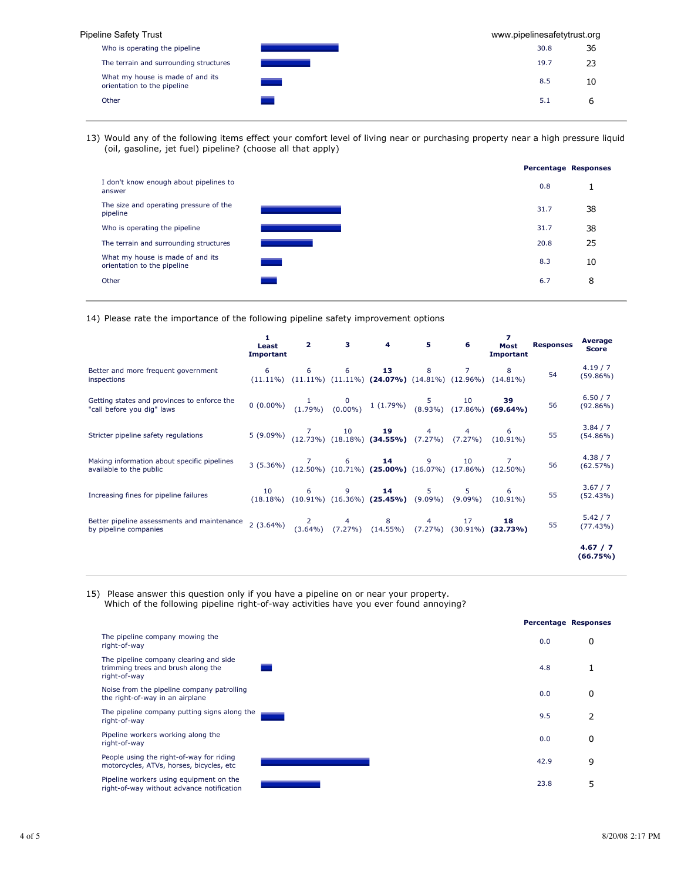| Pipeline Safety Trust                                           |  |      | www.pipelinesafetytrust.org |  |  |  |
|-----------------------------------------------------------------|--|------|-----------------------------|--|--|--|
| Who is operating the pipeline                                   |  | 30.8 | 36                          |  |  |  |
| The terrain and surrounding structures                          |  | 19.7 | 23                          |  |  |  |
| What my house is made of and its<br>orientation to the pipeline |  | 8.5  | 10                          |  |  |  |
| Other                                                           |  | 5.1  | ь                           |  |  |  |
|                                                                 |  |      |                             |  |  |  |

13) Would any of the following items effect your comfort level of living near or purchasing property near a high pressure liquid (oil, gasoline, jet fuel) pipeline? (choose all that apply)



14) Please rate the importance of the following pipeline safety improvement options

|                                                                           | 1<br>Least<br><b>Important</b>                                                                                                                             |   |                     | $2 \qquad 3 \qquad 4 \qquad 5$                                                                                                           | 6              | Most<br>Important                                                                                                                                        | <b>Responses</b> | Average<br><b>Score</b> |
|---------------------------------------------------------------------------|------------------------------------------------------------------------------------------------------------------------------------------------------------|---|---------------------|------------------------------------------------------------------------------------------------------------------------------------------|----------------|----------------------------------------------------------------------------------------------------------------------------------------------------------|------------------|-------------------------|
| Better and more frequent government<br>inspections                        | 6                                                                                                                                                          | 6 | $6 \quad \text{or}$ | $13$ and $13$<br>$(11.11\%)$ $(11.11\%)$ $(11.11\%)$ $(24.07\%)$ $(14.81\%)$ $(12.96\%)$ $(14.81\%)$                                     |                |                                                                                                                                                          | 54               | 4.19/7<br>$(59.86\%)$   |
| Getting states and provinces to enforce the<br>"call before you dig" laws |                                                                                                                                                            |   |                     |                                                                                                                                          |                | 0 (0.00%) $\begin{array}{cc} 1 & 0 \\ (1.79\%) & (0.00\%) \end{array}$ 1 (1.79%) $\begin{array}{cc} 5 & 10 \\ (8.93\%) & (17.86\%) \end{array}$ (69.64%) | 56               | 6.50 / 7<br>$(92.86\%)$ |
| Stricter pipeline safety regulations                                      |                                                                                                                                                            |   |                     | 5 (9.09%) $\begin{array}{cccc} 7 & 10 & 19 & 4 & 4 & 6 \\ 12.73\% & (18.18\%) & (34.55\%) & (7.27\%) & (7.27\%) & (10.91\%) \end{array}$ |                |                                                                                                                                                          | 55               | 3.84 / 7<br>$(54.86\%)$ |
| Making information about specific pipelines<br>available to the public    | 3 (5.36%) $\begin{bmatrix} 7 & 6 & \mathbf{14} & 9 & 10 & 7 \\ 12.50\% & (10.71\%) & \mathbf{(25.00\%)} & (16.07\%) & (17.86\%) & (12.50\%) \end{bmatrix}$ |   |                     |                                                                                                                                          |                |                                                                                                                                                          | 56               | 4.38 / 7<br>(62.57%)    |
| Increasing fines for pipeline failures                                    | 10                                                                                                                                                         |   |                     | 6 9 14 5<br>$(18.18\%)$ $(10.91\%)$ $(16.36\%)$ $(25.45\%)$ $(9.09\%)$ $(9.09\%)$ $(10.91\%)$                                            | 5 <sub>1</sub> |                                                                                                                                                          | 55               | 3.67 / 7<br>(52.43%)    |
| Better pipeline assessments and maintenance<br>by pipeline companies      | 2 (3.64%) $\begin{array}{cccc} 2 & 4 & 8 & 4 & 17 \ 2 & 3.64\% & (3.64\%) & (7.27\%) & (14.55\%) & (7.27\%) & (30.91\%) & (32.73\%) \end{array}$           |   |                     |                                                                                                                                          |                |                                                                                                                                                          | 55               | 5.42 / 7<br>(77.43%)    |
|                                                                           |                                                                                                                                                            |   |                     |                                                                                                                                          |                |                                                                                                                                                          |                  | 4.67 / 7<br>(66.75%)    |

15) Please answer this question only if you have a pipeline on or near your property. Which of the following pipeline right-of-way activities have you ever found annoying?

|                                                                                              |      | <b>Percentage Responses</b> |
|----------------------------------------------------------------------------------------------|------|-----------------------------|
| The pipeline company mowing the<br>right-of-way                                              | 0.0  | 0                           |
| The pipeline company clearing and side<br>trimming trees and brush along the<br>right-of-way | 4.8  |                             |
| Noise from the pipeline company patrolling<br>the right-of-way in an airplane                | 0.0  | 0                           |
| The pipeline company putting signs along the<br>right-of-way                                 | 9.5  |                             |
| Pipeline workers working along the<br>right-of-way                                           | 0.0  | 0                           |
| People using the right-of-way for riding<br>motorcycles, ATVs, horses, bicycles, etc.        | 42.9 | 9                           |
| Pipeline workers using equipment on the<br>right-of-way without advance notification         | 23.8 |                             |